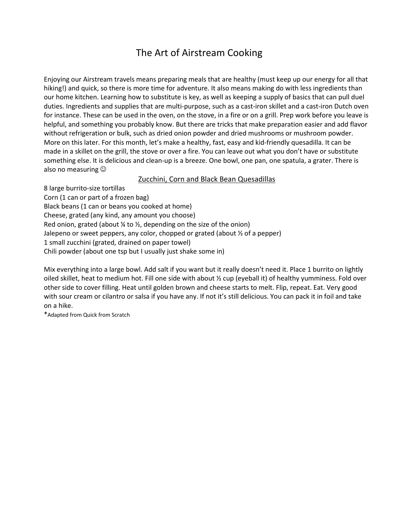## The Art of Airstream Cooking

Enjoying our Airstream travels means preparing meals that are healthy (must keep up our energy for all that hiking!) and quick, so there is more time for adventure. It also means making do with less ingredients than our home kitchen. Learning how to substitute is key, as well as keeping a supply of basics that can pull duel duties. Ingredients and supplies that are multi-purpose, such as a cast-iron skillet and a cast-iron Dutch oven for instance. These can be used in the oven, on the stove, in a fire or on a grill. Prep work before you leave is helpful, and something you probably know. But there are tricks that make preparation easier and add flavor without refrigeration or bulk, such as dried onion powder and dried mushrooms or mushroom powder. More on this later. For this month, let's make a healthy, fast, easy and kid-friendly quesadilla. It can be made in a skillet on the grill, the stove or over a fire. You can leave out what you don't have or substitute something else. It is delicious and clean-up is a breeze. One bowl, one pan, one spatula, a grater. There is also no measuring

## Zucchini, Corn and Black Bean Quesadillas

8 large burrito-size tortillas Corn (1 can or part of a frozen bag) Black beans (1 can or beans you cooked at home) Cheese, grated (any kind, any amount you choose) Red onion, grated (about  $\frac{1}{4}$  to  $\frac{1}{2}$ , depending on the size of the onion) Jalepeno or sweet peppers, any color, chopped or grated (about  $\frac{1}{2}$  of a pepper) 1 small zucchini (grated, drained on paper towel) Chili powder (about one tsp but I usually just shake some in)

Mix everything into a large bowl. Add salt if you want but it really doesn't need it. Place 1 burrito on lightly oiled skillet, heat to medium hot. Fill one side with about ½ cup (eyeball it) of healthy yumminess. Fold over other side to cover filling. Heat until golden brown and cheese starts to melt. Flip, repeat. Eat. Very good with sour cream or cilantro or salsa if you have any. If not it's still delicious. You can pack it in foil and take on a hike.

\*Adapted from Quick from Scratch